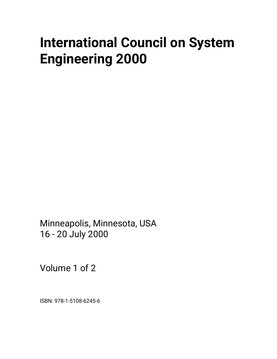# **International Council on System Engineering 2000**

Minneapolis, Minnesota, USA 16 - 20 July 2000

Volume 1 of 2

ISBN: 978-1-5108-6245-6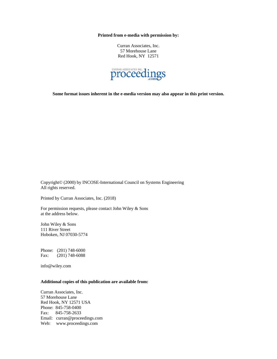**Printed from e-media with permission by:** 

Curran Associates, Inc. 57 Morehouse Lane Red Hook, NY 12571



**Some format issues inherent in the e-media version may also appear in this print version.** 

Copyright© (2000) by INCOSE-International Council on Systems Engineering All rights reserved.

Printed by Curran Associates, Inc. (2018)

For permission requests, please contact John Wiley & Sons at the address below.

John Wiley & Sons 111 River Street Hoboken, NJ 07030-5774

Phone: (201) 748-6000 Fax: (201) 748-6088

info@wiley.com

#### **Additional copies of this publication are available from:**

Curran Associates, Inc. 57 Morehouse Lane Red Hook, NY 12571 USA Phone: 845-758-0400 Fax: 845-758-2633 Email: curran@proceedings.com Web: www.proceedings.com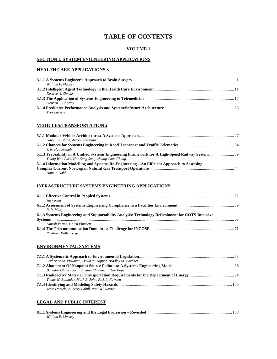## **TABLE OF CONTENTS**

#### **VOLUME 1**

#### **SECTION I: SYSTEM ENGINEERING APPLICATIONS**

## **HEALTH CARE APPLICATIONS 3**

| William F. Mackey   |  |
|---------------------|--|
|                     |  |
| Desiree, J. Simons  |  |
|                     |  |
| Stephen J. Chorley  |  |
|                     |  |
| <i>Yves Lacerte</i> |  |

#### **VEHICLES/TRANSPORTATION 2**

| Gary J. Rushton, Armen Zakarian                                                           |  |
|-------------------------------------------------------------------------------------------|--|
|                                                                                           |  |
| J. N. Hadderingh                                                                          |  |
|                                                                                           |  |
| Young Won Park, Hae Sang Song, Heung Chae Chung                                           |  |
| 5.1.4 Information Modelling and Systems Re-Engineering-An Efficient Approach to Assessing |  |
|                                                                                           |  |
| Hans J. Dahl                                                                              |  |

#### **INFRASTRUCTURE SYSTEMS ENGINEERING APPLICATIONS**

| Jack Ring                                                                                        |  |
|--------------------------------------------------------------------------------------------------|--|
|                                                                                                  |  |
| R. R. Matty                                                                                      |  |
| 6.1.3 Systems Engineering and Supportability Analysis: Technology Refreshment for COTS-Intensive |  |
|                                                                                                  |  |
| Dinesh Verma, Galen Plunkett                                                                     |  |
|                                                                                                  |  |
| Ruediger Kaffenberger                                                                            |  |

#### **ENVIRONMENTAL SYSTEMS**

| Catherine M. Plowman, David W. Nipper, Bradley M. Gardner |  |
|-----------------------------------------------------------|--|
|                                                           |  |
| Bahador Ghahramani, Bassam Elmaimani, Tito Pope           |  |
|                                                           |  |
| Thane W. Bolander, Mark E. John, Rick L. Fawcett          |  |
| Jesse Daniels, A. Terry Bahill, Paul W. Werner            |  |

#### **LEGAL AND PUBLIC INTEREST**

| William F. Mackey |  |
|-------------------|--|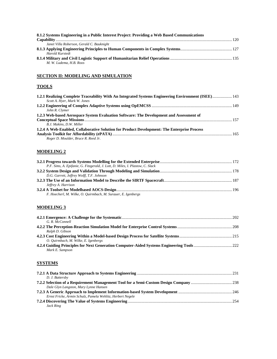| 8.1.2 Systems Engineering in a Public Interest Project: Providing a Web Based Communications |  |
|----------------------------------------------------------------------------------------------|--|
|                                                                                              |  |
| Janet Villa Roberson, Gerald C. Bauknight                                                    |  |
|                                                                                              |  |
| Harold Kurstedt                                                                              |  |
|                                                                                              |  |
| M. W. Ludema, H.B. Roos                                                                      |  |

## **SECTION II: MODELING AND SIMULATION**

## **TOOLS**

| 1.2.1 Realizing Complete Traceability With An Integrated Systems Engineering Environment (ISEE) 143 |  |
|-----------------------------------------------------------------------------------------------------|--|
| Scott A. Hyer, Mark W. Jones                                                                        |  |
|                                                                                                     |  |
| John R. Clymer                                                                                      |  |
| 1.2.3 Web-based Aerospace System Evaluation Software: The Development and Assessment of             |  |
|                                                                                                     |  |
| B.J. Makins. D.W. Miller                                                                            |  |
| 1.2.4 A Web-Enabled, Collaborative Solution for Product Development: The Enterprise Process         |  |
|                                                                                                     |  |
| Roger D. Moulder, Bruce R. Reed Jr.                                                                 |  |
|                                                                                                     |  |

## **MODELING 2**

| P.F. Sims, A. Epifanie, G. Fitzgerald, J. Lott, D. Miles, I. Plastow, C. Slack |  |
|--------------------------------------------------------------------------------|--|
|                                                                                |  |
| D.G. Garrett, Jeffrey Wolff, T.F. Johnson                                      |  |
|                                                                                |  |
| Jeffrey A. Harrison                                                            |  |
|                                                                                |  |
| F. Hoecherl, M. Wilke, O. Quirmbach, M. Surauer, E. Igenbergs                  |  |

## **MODELING 3**

| G. R. McConnell                      |  |
|--------------------------------------|--|
|                                      |  |
| Ralph D. Gibson                      |  |
|                                      |  |
| O. Ouirmbach, M. Wilke, E. Igenbergs |  |
|                                      |  |
| Mark E. Sampson                      |  |

## **SYSTEMS**

| D. J. Battersby                                            |  |
|------------------------------------------------------------|--|
|                                                            |  |
| Dale Glyn Langston, Mary Lynne Hansen                      |  |
|                                                            |  |
| Ernst Fricke, Armin Schulz, Pamela Wehlitz, Herbert Negele |  |
|                                                            |  |
| Jack Ring                                                  |  |
|                                                            |  |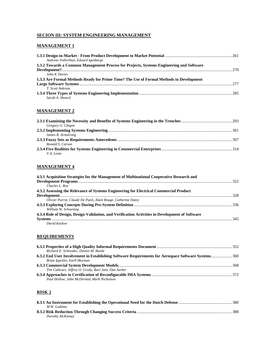## **SECION III: SYSTEM ENGINEERING MANAGEMENT**

### **MANAGEMENT 1**

| Andreas Vollerthun, Eduard Igenbergs                                                     |     |
|------------------------------------------------------------------------------------------|-----|
| 1.3.2 Towards a Common Management Process for Projects, Systems Engineering and Software |     |
|                                                                                          |     |
| John K Davies                                                                            |     |
| 1.3.3 Are Formal Methods Ready for Prime Time? The Use of Formal Methods in Development  |     |
|                                                                                          | 277 |
| T. Scott Ankrum                                                                          |     |
|                                                                                          |     |
| Sarah A. Sheard                                                                          |     |

## **MANAGEMENT 2**

| Gregory G. Chapin  |  |
|--------------------|--|
|                    |  |
| James R. Armstrong |  |
|                    |  |
| Ronald S. Carson   |  |
|                    |  |
| V.A. Lentz         |  |

## **MANAGEMENT 4**

| 4.3.1 Acquisition Strategies for the Management of Multinational Cooperative Research and       |  |
|-------------------------------------------------------------------------------------------------|--|
|                                                                                                 |  |
| Charles L. Roe                                                                                  |  |
| 4.3.2 Assessing the Relevance of Systems Engineering for Electrical Commercial Product          |  |
|                                                                                                 |  |
| Olivier Parrot, Claude De Paoli, Alain Rouge, Catherine Dutey                                   |  |
|                                                                                                 |  |
| William W. Schoening                                                                            |  |
| 4.3.4 Role of Design, Design Validation, and Verification Activities in Development of Software |  |
|                                                                                                 |  |
| David Kaslow                                                                                    |  |

#### **REQUIREMENTS**

| Richard E. Schneider, Dennis M. Buede                                                              |  |
|----------------------------------------------------------------------------------------------------|--|
| 6.3.2 End User Involvement in Establishing Software Requirements for Aerospace Software Systems360 |  |
| Brian Ippolito, Earll Murman                                                                       |  |
|                                                                                                    |  |
| Tim Cathcart, Jeffrey O. Grady, Ravi Jain, Dan Surber                                              |  |
| Paul Hollow, John McDermid, Mark Nicholson                                                         |  |

## **RISK 2**

| M.W. Ludema      |  |
|------------------|--|
|                  |  |
| Dorothy McKinney |  |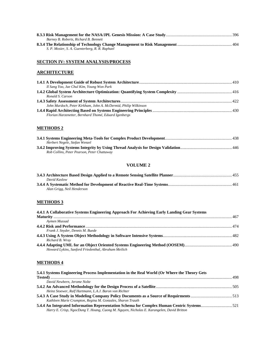| Barney B. Roberts, Richard B. Bennett          |  |
|------------------------------------------------|--|
|                                                |  |
| S. P. Mosier, S. A. Guenterberg, R. R. Raphael |  |

## **SECTION IV: SYSTEM ANALYSIS/PROCESS**

## **ARCHITECTURE**

| Il Sang Yoo, Jae Chul Kim, Young Won Park                       |  |
|-----------------------------------------------------------------|--|
|                                                                 |  |
| Ronald S. Carson                                                |  |
|                                                                 |  |
| John Murdoch, Peter Kirkham, John A. McDermid, Philip Wilkinson |  |
|                                                                 |  |
| Florian Harzenetter, Bernhard Thomé, Eduard Igenbergs           |  |
|                                                                 |  |

## **METHODS 2**

| Herbert Negele, Stefan Wenzel               |  |
|---------------------------------------------|--|
|                                             |  |
| Rob Collins, Peter Pearson, Peter Chattaway |  |

## **VOLUME 2**

| David Kaslow               |  |
|----------------------------|--|
|                            |  |
| Alan Grigg, Neil Henderson |  |

## **METHODS 3**

| 4.4.1 A Collaborative Systems Engineering Approach For Achieving Early Landing Gear Systems |  |
|---------------------------------------------------------------------------------------------|--|
|                                                                                             |  |
| Aymen Mussad                                                                                |  |
|                                                                                             |  |
| Frank J. Snyder, Dennis M. Buede                                                            |  |
|                                                                                             |  |
| Richard B. Wray                                                                             |  |
| Howard Lykins, Sanford Friedenthal, Abraham Meilich                                         |  |

#### **METHODS 4**

| 5.4.1 Systems Engineering Process Implementation in the Real World (Or Where the Theory Gets |  |
|----------------------------------------------------------------------------------------------|--|
|                                                                                              |  |
| David Newbern, Jerome Nolte                                                                  |  |
|                                                                                              |  |
| Heinz Stoewer, Ralf Hartmann, L.A.J. Baron von Richter                                       |  |
|                                                                                              |  |
| Kathleen Marie Crumpton, Regina M. Gonzales, Sharon Trauth                                   |  |
| 5.4.4 An Integrated Information Representation Schema for Complex Human Centric Systems521   |  |
| Harry E. Crisp, NgocDung T. Hoang, Cuong M. Nguyen, Nicholas E. Karangelen, David Britton    |  |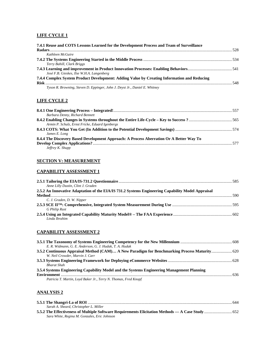#### **LIFE CYCLE 1**

| 7.4.1 Reuse and COTS Lessons Learned for the Development Process and Team of Surveillance                            | -528 |
|----------------------------------------------------------------------------------------------------------------------|------|
| Kathleen McGuire                                                                                                     |      |
|                                                                                                                      |      |
| Terry Bahill, Clark Briggs                                                                                           |      |
| José F.B. Gieskes, Ilse W.H.A. Langenberg                                                                            |      |
| 7.4.4 Complex System Product Development: Adding Value by Creating Information and Reducing<br><b>Risk</b> 2008 1999 |      |
| Tyson R. Browning, Steven D. Eppinger, John J. Deyst Jr., Daniel E. Whitney                                          |      |

## **LIFE CYCLE 2**

| Barbara Denny, Richard Bennett                                                          |     |
|-----------------------------------------------------------------------------------------|-----|
|                                                                                         |     |
| Armin P. Schulz, Ernst Fricke, Eduard Igenbergs                                         |     |
|                                                                                         |     |
| James E. Long                                                                           |     |
| 8.4.4 The Discovery Based Development Approach: A Process Aberration Or A Better Way To |     |
|                                                                                         | 577 |
| Jeffrey K. Shupp                                                                        |     |

## **SECTION V: MEASUREMENT**

#### **CAPABILITY ASSESSMENT 1**

| Anne Lilly Dustin, Clint J. Graden                                                                |  |
|---------------------------------------------------------------------------------------------------|--|
| 2.5.2 An Innovative Adaptation of the EIA/IS 731.2 Systems Engineering Capability Model Appraisal |  |
|                                                                                                   |  |
| C. J. Graden, D. W. Nipper                                                                        |  |
|                                                                                                   |  |
| <b>G</b> Philip Rust                                                                              |  |
| Linda Ihrahim                                                                                     |  |

#### **CAPABILITY ASSESSMENT 2**

| E. R. Widmann, G. E. Anderson, G. J. Hudak, T. A. Hudak                                      |  |
|----------------------------------------------------------------------------------------------|--|
| 3.5.2 Continuous Appraisal Method (CAM) A New Paradigm for Benchmarking Process Maturity 620 |  |
| W. Neil Crowder, Marvin J. Carr                                                              |  |
|                                                                                              |  |
| <b>Bharat Shah</b>                                                                           |  |
| 3.5.4 Systems Engineering Capability Model and the Systems Engineering Management Planning   |  |
|                                                                                              |  |
| Patricia T. Martin, Loyd Baker Jr., Terry N. Thomas, Fred Knopf                              |  |

## **ANALYSIS 2**

| Sarah A. Sheard, Christopher L. Miller       |  |
|----------------------------------------------|--|
|                                              |  |
| Sara White, Regina M. Gonzales, Eric Johnson |  |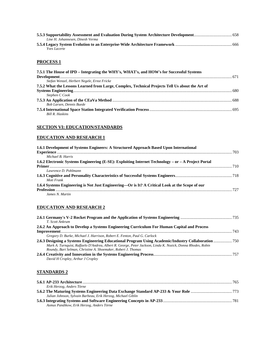| Line H. Johannesen. Dinesh Verma |  |
|----------------------------------|--|
|                                  |  |
| <i>Yves Lacerte</i>              |  |

## **PROCESS 1**

| 7.5.1 The House of IPD – Integrating the WHY's, WHAT's, and HOW's for Successful Systems        |  |
|-------------------------------------------------------------------------------------------------|--|
|                                                                                                 |  |
| Stefan Wenzel, Herbert Negele, Ernst Fricke                                                     |  |
| 7.5.2 What the Lessons Learned from Large, Complex, Technical Projects Tell Us about the Art of |  |
|                                                                                                 |  |
| Stephen C Cook                                                                                  |  |
|                                                                                                 |  |
| <b>Bob Larsen, Dennis Buede</b>                                                                 |  |
|                                                                                                 |  |
| <b>Bill R. Haskins</b>                                                                          |  |

## **SECTION VI: EDUCATION/STANDARDS**

## **EDUCATION AND RESEARCH 1**

| 1.6.1 Development of Systems Engineers: A Structured Approach Based Upon International              |      |
|-----------------------------------------------------------------------------------------------------|------|
|                                                                                                     | .703 |
| Michael B. Harris                                                                                   |      |
| 1.6.2 Electronic Systems Engineering (E-SE): Exploiting Internet Technology – or – A Project Portal |      |
|                                                                                                     |      |
| Lawrence D. Pohlmann                                                                                |      |
|                                                                                                     |      |
| Moti Frank                                                                                          |      |
| 1.6.4 Systems Engineering is Not Just Engineering—Or is It? A Critical Look at the Scope of our     |      |
|                                                                                                     | 727  |
| James N. Martin                                                                                     |      |

## **EDUCATION AND RESEARCH 2**

| T. Scott Ankrum                                                                                             |       |
|-------------------------------------------------------------------------------------------------------------|-------|
| 2.6.2 An Approach to Develop a Systems Engineering Curriculum For Human Capital and Process                 |       |
|                                                                                                             | . 743 |
| Gregory D. Burke, Michael J. Harrison, Robert E. Fenton, Paul G. Carlock                                    |       |
| 2.6.3 Designing a Systems Engineering Educational Program Using Academic/Industry Collaboration  750        |       |
| Mark A. Turnquist, Raffaelo D'Andrea, Albert R. George, Peter Jackson, Linda K. Nozick, Donna Rhodes, Robin |       |
| Roundy, Bart Selman, Christine A. Shoemaker, Robert J. Thomas                                               |       |
|                                                                                                             |       |
| David H Cropley, Arthur J Cropley                                                                           |       |

## **STANDARDS 2**

| Erik Herzog, Anders Törne                                    |  |
|--------------------------------------------------------------|--|
|                                                              |  |
| Julian Johnson, Sylvain Barbeau, Erik Herzog, Michael Giblin |  |
|                                                              |  |
| Asmus Pandikow, Erik Herzog, Anders Törne                    |  |